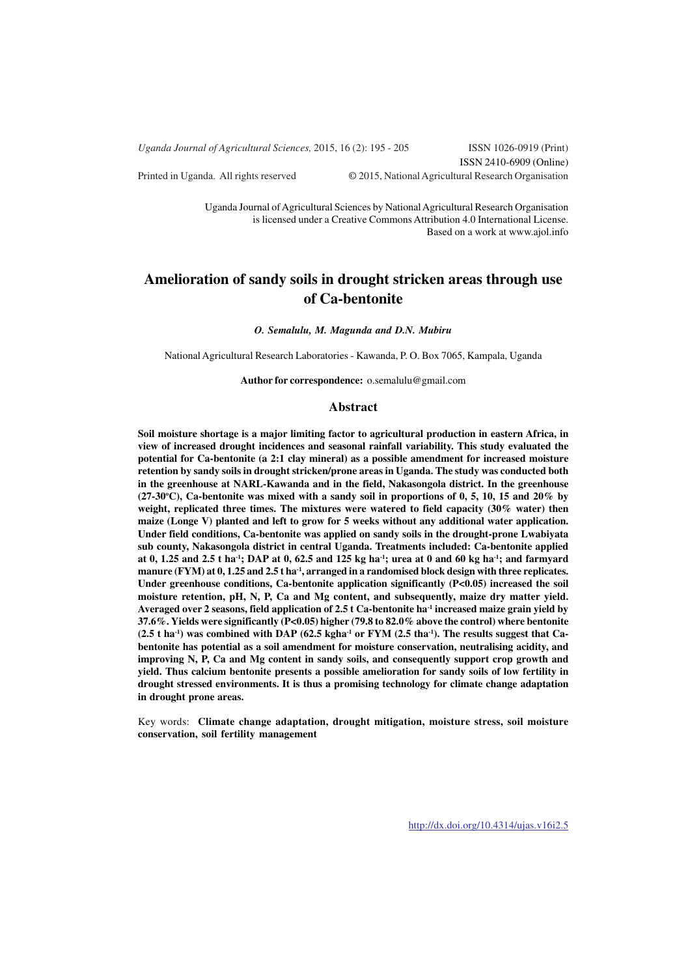*Uganda Journal of Agricultural Sciences,* 2015, 16 (2): 195 - 205 ISSN 1026-0919 (Print) ISSN 2410-6909 (Online) Printed in Uganda. All rights reserved © 2015, National Agricultural Research Organisation

> Uganda Journal of Agricultural Sciences by National Agricultural Research Organisation is licensed under a Creative Commons Attribution 4.0 International License. Based on a work at www.ajol.info

# **Amelioration of sandy soils in drought stricken areas through use of Ca-bentonite**

*O. Semalulu, M. Magunda and D.N. Mubiru*

National Agricultural Research Laboratories - Kawanda, P. O. Box 7065, Kampala, Uganda

**Author for correspondence:** o.semalulu@gmail.com

#### **Abstract**

**Soil moisture shortage is a major limiting factor to agricultural production in eastern Africa, in view of increased drought incidences and seasonal rainfall variability. This study evaluated the potential for Ca-bentonite (a 2:1 clay mineral) as a possible amendment for increased moisture retention by sandy soils in drought stricken/prone areas in Uganda. The study was conducted both in the greenhouse at NARL-Kawanda and in the field, Nakasongola district. In the greenhouse (27-30<sup>o</sup>C), Ca-bentonite was mixed with a sandy soil in proportions of 0, 5, 10, 15 and 20% by weight, replicated three times. The mixtures were watered to field capacity (30% water) then maize (Longe V) planted and left to grow for 5 weeks without any additional water application. Under field conditions, Ca-bentonite was applied on sandy soils in the drought-prone Lwabiyata sub county, Nakasongola district in central Uganda. Treatments included: Ca-bentonite applied at 0, 1.25 and 2.5 t ha-1; DAP at 0, 62.5 and 125 kg ha-1; urea at 0 and 60 kg ha-1; and farmyard manure (FYM) at 0, 1.25 and 2.5 t ha-1, arranged in a randomised block design with three replicates. Under greenhouse conditions, Ca-bentonite application significantly (P<0.05) increased the soil moisture retention, pH, N, P, Ca and Mg content, and subsequently, maize dry matter yield. Averaged over 2 seasons, field application of 2.5 t Ca-bentonite ha-1 increased maize grain yield by 37.6%. Yields were significantly (P<0.05) higher (79.8 to 82.0% above the control) where bentonite (2.5 t ha-1) was combined with DAP (62.5 kgha-1 or FYM (2.5 tha-1). The results suggest that Cabentonite has potential as a soil amendment for moisture conservation, neutralising acidity, and improving N, P, Ca and Mg content in sandy soils, and consequently support crop growth and yield. Thus calcium bentonite presents a possible amelioration for sandy soils of low fertility in drought stressed environments. It is thus a promising technology for climate change adaptation in drought prone areas.**

Key words: **Climate change adaptation, drought mitigation, moisture stress, soil moisture conservation, soil fertility management**

http://dx.doi.org/10.4314/ujas.v16i2.5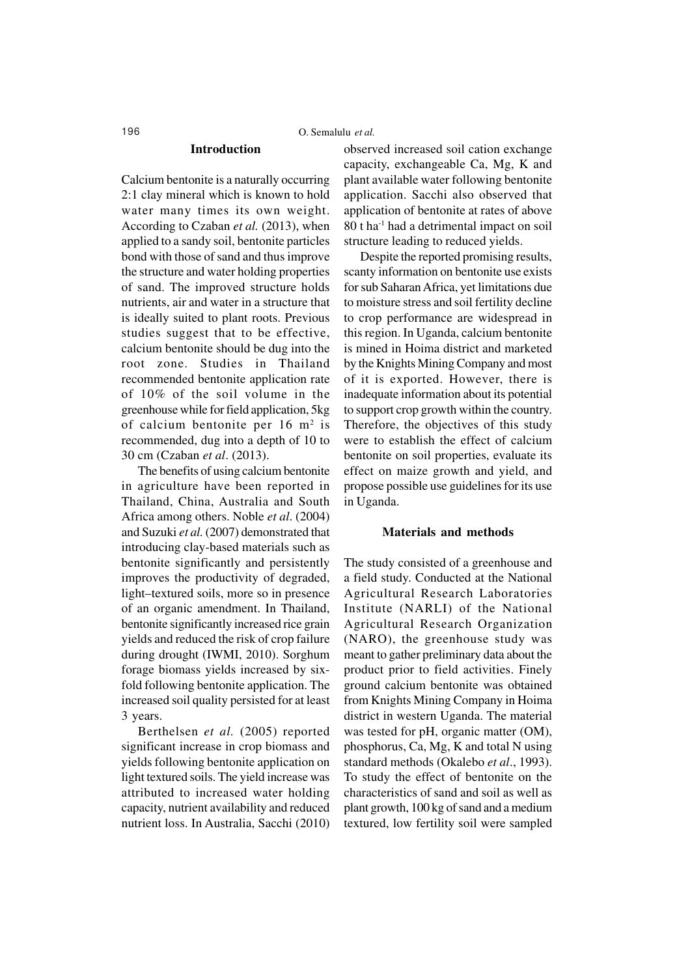### 196 O. Semalulu *et al.*

#### **Introduction**

Calcium bentonite is a naturally occurring 2:1 clay mineral which is known to hold water many times its own weight. According to Czaban *et al.* (2013), when applied to a sandy soil, bentonite particles bond with those of sand and thus improve the structure and water holding properties of sand. The improved structure holds nutrients, air and water in a structure that is ideally suited to plant roots. Previous studies suggest that to be effective, calcium bentonite should be dug into the root zone. Studies in Thailand recommended bentonite application rate of 10% of the soil volume in the greenhouse while for field application, 5kg of calcium bentonite per 16 m<sup>2</sup> is recommended, dug into a depth of 10 to 30 cm (Czaban *et al*. (2013).

The benefits of using calcium bentonite in agriculture have been reported in Thailand, China, Australia and South Africa among others. Noble *et al*. (2004) and Suzuki *et al.* (2007) demonstrated that introducing clay-based materials such as bentonite significantly and persistently improves the productivity of degraded, light–textured soils, more so in presence of an organic amendment. In Thailand, bentonite significantly increased rice grain yields and reduced the risk of crop failure during drought (IWMI, 2010). Sorghum forage biomass yields increased by sixfold following bentonite application. The increased soil quality persisted for at least 3 years.

Berthelsen *et al.* (2005) reported significant increase in crop biomass and yields following bentonite application on light textured soils. The yield increase was attributed to increased water holding capacity, nutrient availability and reduced nutrient loss. In Australia, Sacchi (2010)

observed increased soil cation exchange capacity, exchangeable Ca, Mg, K and plant available water following bentonite application. Sacchi also observed that application of bentonite at rates of above 80 t ha-1 had a detrimental impact on soil structure leading to reduced yields.

Despite the reported promising results, scanty information on bentonite use exists for sub Saharan Africa, yet limitations due to moisture stress and soil fertility decline to crop performance are widespread in this region. In Uganda, calcium bentonite is mined in Hoima district and marketed by the Knights Mining Company and most of it is exported. However, there is inadequate information about its potential to support crop growth within the country. Therefore, the objectives of this study were to establish the effect of calcium bentonite on soil properties, evaluate its effect on maize growth and yield, and propose possible use guidelines for its use in Uganda.

### **Materials and methods**

The study consisted of a greenhouse and a field study. Conducted at the National Agricultural Research Laboratories Institute (NARLI) of the National Agricultural Research Organization (NARO), the greenhouse study was meant to gather preliminary data about the product prior to field activities. Finely ground calcium bentonite was obtained from Knights Mining Company in Hoima district in western Uganda. The material was tested for pH, organic matter (OM), phosphorus, Ca, Mg, K and total N using standard methods (Okalebo *et al*., 1993). To study the effect of bentonite on the characteristics of sand and soil as well as plant growth, 100 kg of sand and a medium textured, low fertility soil were sampled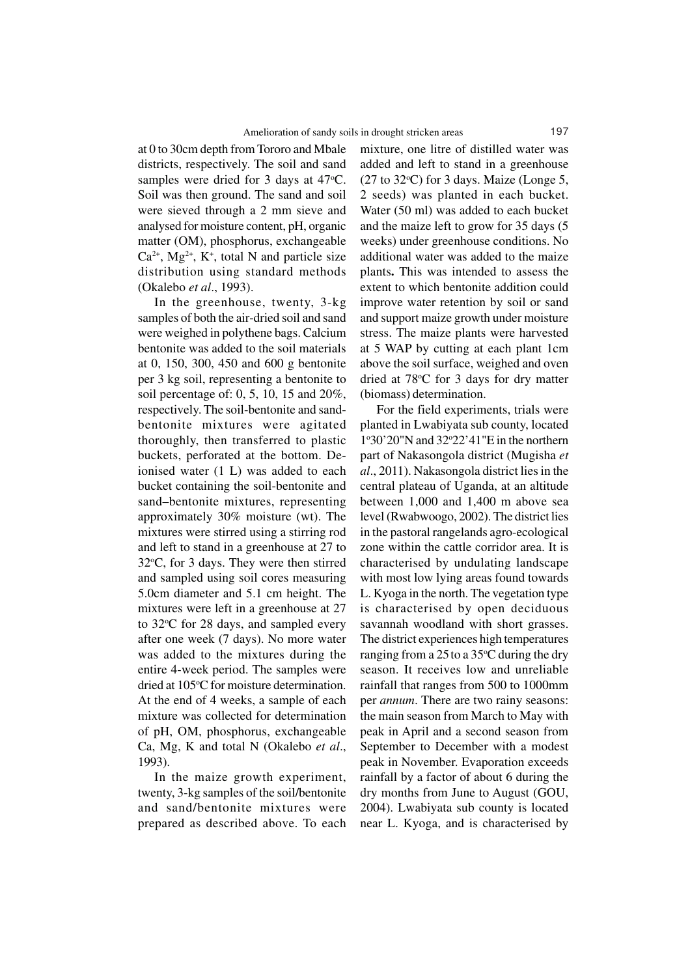at 0 to 30cm depth from Tororo and Mbale districts, respectively. The soil and sand samples were dried for 3 days at 47 °C. Soil was then ground. The sand and soil were sieved through a 2 mm sieve and analysed for moisture content, pH, organic matter (OM), phosphorus, exchangeable  $Ca^{2+}$ , Mg<sup>2+</sup>, K<sup>+</sup>, total N and particle size distribution using standard methods (Okalebo *et al*., 1993).

In the greenhouse, twenty, 3-kg samples of both the air-dried soil and sand were weighed in polythene bags. Calcium bentonite was added to the soil materials at 0, 150, 300, 450 and 600 g bentonite per 3 kg soil, representing a bentonite to soil percentage of: 0, 5, 10, 15 and 20%, respectively. The soil-bentonite and sandbentonite mixtures were agitated thoroughly, then transferred to plastic buckets, perforated at the bottom. Deionised water (1 L) was added to each bucket containing the soil-bentonite and sand–bentonite mixtures, representing approximately 30% moisture (wt). The mixtures were stirred using a stirring rod and left to stand in a greenhouse at 27 to  $32^{\circ}$ C, for 3 days. They were then stirred and sampled using soil cores measuring 5.0cm diameter and 5.1 cm height. The mixtures were left in a greenhouse at 27 to  $32^{\circ}$ C for 28 days, and sampled every after one week (7 days). No more water was added to the mixtures during the entire 4-week period. The samples were dried at 105°C for moisture determination. At the end of 4 weeks, a sample of each mixture was collected for determination of pH, OM, phosphorus, exchangeable Ca, Mg, K and total N (Okalebo *et al*., 1993).

In the maize growth experiment, twenty, 3-kg samples of the soil/bentonite and sand/bentonite mixtures were prepared as described above. To each

mixture, one litre of distilled water was added and left to stand in a greenhouse  $(27 \text{ to } 32^{\circ}\text{C})$  for 3 days. Maize (Longe 5, 2 seeds) was planted in each bucket. Water (50 ml) was added to each bucket and the maize left to grow for 35 days (5 weeks) under greenhouse conditions. No additional water was added to the maize plants**.** This was intended to assess the extent to which bentonite addition could improve water retention by soil or sand and support maize growth under moisture stress. The maize plants were harvested at 5 WAP by cutting at each plant 1cm above the soil surface, weighed and oven dried at 78°C for 3 days for dry matter (biomass) determination.

For the field experiments, trials were planted in Lwabiyata sub county, located 1°30'20"N and 32°22'41"E in the northern part of Nakasongola district (Mugisha *et al*., 2011). Nakasongola district lies in the central plateau of Uganda, at an altitude between 1,000 and 1,400 m above sea level (Rwabwoogo, 2002). The district lies in the pastoral rangelands agro-ecological zone within the cattle corridor area. It is characterised by undulating landscape with most low lying areas found towards L. Kyoga in the north. The vegetation type is characterised by open deciduous savannah woodland with short grasses. The district experiences high temperatures ranging from a 25 to a 35 °C during the dry season. It receives low and unreliable rainfall that ranges from 500 to 1000mm per *annum*. There are two rainy seasons: the main season from March to May with peak in April and a second season from September to December with a modest peak in November. Evaporation exceeds rainfall by a factor of about 6 during the dry months from June to August (GOU, 2004). Lwabiyata sub county is located near L. Kyoga, and is characterised by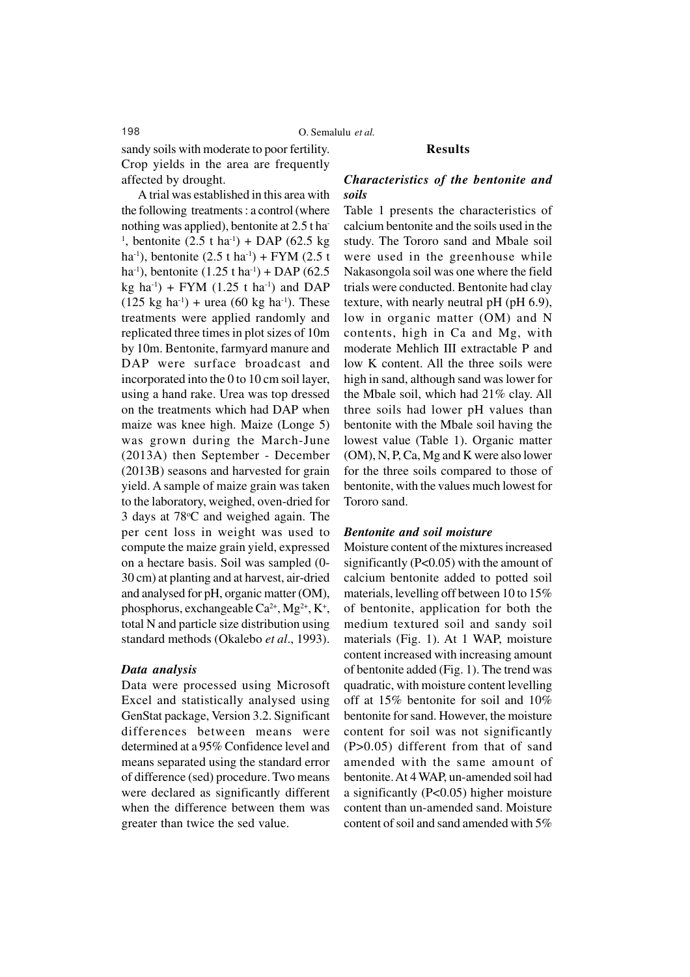198 O. Semalulu *et al.*

sandy soils with moderate to poor fertility. Crop yields in the area are frequently affected by drought.

A trial was established in this area with the following treatments : a control (where nothing was applied), bentonite at 2.5 t ha-<sup>1</sup>, bentonite  $(2.5 \text{ t} \text{ ha}^1) + \text{DAP}$  (62.5 kg) ha<sup>-1</sup>), bentonite  $(2.5 \text{ t} \text{ ha}^{-1})$  + FYM  $(2.5 \text{ t} \text{ h})$ ha<sup>-1</sup>), bentonite  $(1.25 \text{ t} \text{ ha}^{-1})$  + DAP (62.5) kg ha<sup>-1</sup>) + FYM (1.25 t ha<sup>-1</sup>) and DAP  $(125 \text{ kg } \text{ha}^{-1}) + \text{urea } (60 \text{ kg } \text{ha}^{-1})$ . These treatments were applied randomly and replicated three times in plot sizes of 10m by 10m. Bentonite, farmyard manure and DAP were surface broadcast and incorporated into the 0 to 10 cm soil layer, using a hand rake. Urea was top dressed on the treatments which had DAP when maize was knee high. Maize (Longe 5) was grown during the March-June (2013A) then September - December (2013B) seasons and harvested for grain yield. A sample of maize grain was taken to the laboratory, weighed, oven-dried for 3 days at 78<sup>o</sup>C and weighed again. The per cent loss in weight was used to compute the maize grain yield, expressed on a hectare basis. Soil was sampled (0- 30 cm) at planting and at harvest, air-dried and analysed for pH, organic matter (OM), phosphorus, exchangeable  $Ca^{2+}$ ,  $Mg^{2+}$ ,  $K^+$ , total N and particle size distribution using standard methods (Okalebo *et al*., 1993).

### *Data analysis*

Data were processed using Microsoft Excel and statistically analysed using GenStat package, Version 3.2. Significant differences between means were determined at a 95% Confidence level and means separated using the standard error of difference (sed) procedure. Two means were declared as significantly different when the difference between them was greater than twice the sed value.

# **Results**

## *Characteristics of the bentonite and soils*

Table 1 presents the characteristics of calcium bentonite and the soils used in the study. The Tororo sand and Mbale soil were used in the greenhouse while Nakasongola soil was one where the field trials were conducted. Bentonite had clay texture, with nearly neutral pH (pH 6.9), low in organic matter (OM) and N contents, high in Ca and Mg, with moderate Mehlich III extractable P and low K content. All the three soils were high in sand, although sand was lower for the Mbale soil, which had 21% clay. All three soils had lower pH values than bentonite with the Mbale soil having the lowest value (Table 1). Organic matter (OM), N, P, Ca, Mg and K were also lower for the three soils compared to those of bentonite, with the values much lowest for Tororo sand.

### *Bentonite and soil moisture*

Moisture content of the mixtures increased significantly (P<0.05) with the amount of calcium bentonite added to potted soil materials, levelling off between 10 to 15% of bentonite, application for both the medium textured soil and sandy soil materials (Fig. 1). At 1 WAP, moisture content increased with increasing amount of bentonite added (Fig. 1). The trend was quadratic, with moisture content levelling off at 15% bentonite for soil and 10% bentonite for sand. However, the moisture content for soil was not significantly (P>0.05) different from that of sand amended with the same amount of bentonite. At 4 WAP, un-amended soil had a significantly (P<0.05) higher moisture content than un-amended sand. Moisture content of soil and sand amended with 5%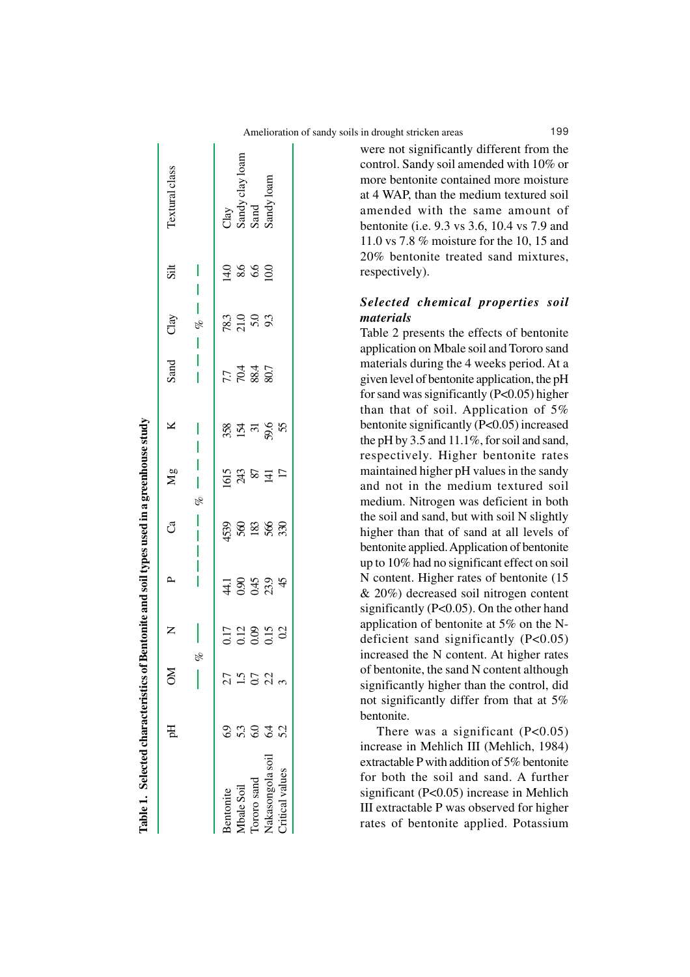| Table 1. Selected characteristics |     |    |                                | of Bentonite and soil types used in a greenhouse study |                   |               |                            |                           |                      |                        |                                               |
|-----------------------------------|-----|----|--------------------------------|--------------------------------------------------------|-------------------|---------------|----------------------------|---------------------------|----------------------|------------------------|-----------------------------------------------|
|                                   | E   | MO |                                |                                                        | ්                 | $\frac{8}{2}$ | ⊻                          | Sand                      | Clay                 | sit                    | Textural class                                |
|                                   |     |    |                                |                                                        |                   | olo           |                            |                           | olo                  |                        |                                               |
| Bentonite                         |     |    |                                |                                                        |                   |               |                            |                           |                      |                        |                                               |
| Abale Soil                        | 53  | r. | 012<br>012<br>015<br>015<br>01 | $\frac{4888}{3434}$                                    | ភ្នំ<br>ខេត្ត និង | 5 3 8 4 5     | ន្លង្គ ដ <b>្</b> ន្ត<br>ន | 7.7<br>70.4<br>7.7<br>7.7 | 23<br>25<br>26<br>25 | $\frac{14.0}{8.6}$ 6.0 | Clay<br>Sandy clay Ioam<br>Sand<br>Sandy Ioam |
| ororo sand                        | င္ပ | 50 |                                |                                                        |                   |               |                            |                           |                      |                        |                                               |
| Vakasongola soil                  | 64  | 22 |                                |                                                        |                   |               |                            |                           |                      |                        |                                               |
| Critical values                   | 52  |    |                                |                                                        |                   |               |                            |                           |                      |                        |                                               |
|                                   |     |    |                                |                                                        |                   |               |                            |                           |                      |                        |                                               |

Ī

were not significantly different from the control. Sandy soil amended with 10% or more bentonite contained more moisture at 4 WAP, than the medium textured soil amended with the same amount of bentonite (i.e. 9.3 vs 3.6, 10.4 vs 7.9 and 11.0 vs 7.8 % moisture for the 10, 15 and 20% bentonite treated sand mixtures, respectively).

# *Selected chemical properties soil materials*

Table 2 presents the effects of bentonite application on Mbale soil and Tororo sand materials during the 4 weeks period. At a given level of bentonite application, the pH for sand was significantly (P<0.05) higher than that of soil. Application of 5% bentonite significantly (P<0.05) increased the pH by 3.5 and 11.1%, for soil and sand, respectively. Higher bentonite rates maintained higher pH values in the sandy and not in the medium textured soil medium. Nitrogen was deficient in both the soil and sand, but with soil N slightly higher than that of sand at all levels of bentonite applied. Application of bentonite up to 10% had no significant effect on soil N content. Higher rates of bentonite (15 & 20%) decreased soil nitrogen content significantly (P<0.05). On the other hand application of bentonite at 5% on the Ndeficient sand significantly (P<0.05) increased the N content. At higher rates of bentonite, the sand N content although significantly higher than the control, did not significantly differ from that at 5% bentonite.

There was a significant  $(P<0.05)$ increase in Mehlich III (Mehlich, 1984) extractable P with addition of 5% bentonite for both the soil and sand. A further significant (P<0.05) increase in Mehlich III extractable P was observed for higher rates of bentonite applied. Potassium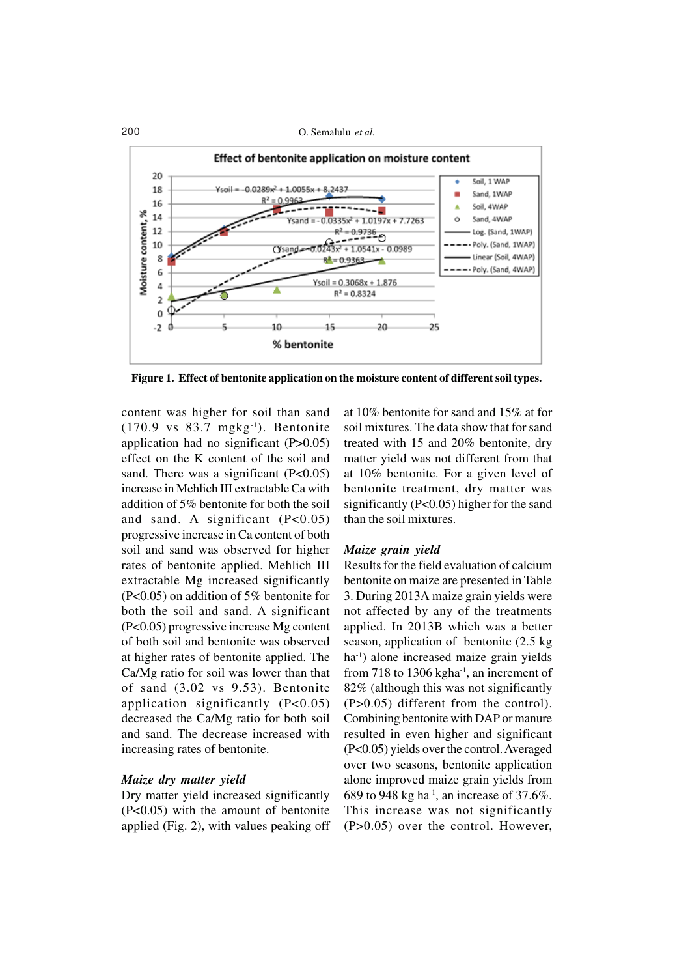

**Figure 1. Effect of bentonite application on the moisture content of different soil types.**

content was higher for soil than sand  $(170.9 \text{ vs } 83.7 \text{ mgkg}^{-1})$ . Bentonite application had no significant (P>0.05) effect on the K content of the soil and sand. There was a significant  $(P<0.05)$ increase in Mehlich III extractable Ca with addition of 5% bentonite for both the soil and sand. A significant  $(P<0.05)$ progressive increase in Ca content of both soil and sand was observed for higher rates of bentonite applied. Mehlich III extractable Mg increased significantly (P<0.05) on addition of 5% bentonite for both the soil and sand. A significant (P<0.05) progressive increase Mg content of both soil and bentonite was observed at higher rates of bentonite applied. The Ca/Mg ratio for soil was lower than that of sand (3.02 vs 9.53). Bentonite application significantly (P<0.05) decreased the Ca/Mg ratio for both soil and sand. The decrease increased with increasing rates of bentonite.

### *Maize dry matter yield*

Dry matter yield increased significantly (P<0.05) with the amount of bentonite applied (Fig. 2), with values peaking off

at 10% bentonite for sand and 15% at for soil mixtures. The data show that for sand treated with 15 and 20% bentonite, dry matter yield was not different from that at 10% bentonite. For a given level of bentonite treatment, dry matter was significantly  $(P<0.05)$  higher for the sand than the soil mixtures.

#### *Maize grain yield*

Results for the field evaluation of calcium bentonite on maize are presented in Table 3. During 2013A maize grain yields were not affected by any of the treatments applied. In 2013B which was a better season, application of bentonite (2.5 kg ha-1) alone increased maize grain yields from 718 to 1306 kgha $^{-1}$ , an increment of 82% (although this was not significantly (P>0.05) different from the control). Combining bentonite with DAP or manure resulted in even higher and significant (P<0.05) yields over the control. Averaged over two seasons, bentonite application alone improved maize grain yields from 689 to 948 kg ha<sup>-1</sup>, an increase of 37.6%. This increase was not significantly (P>0.05) over the control. However,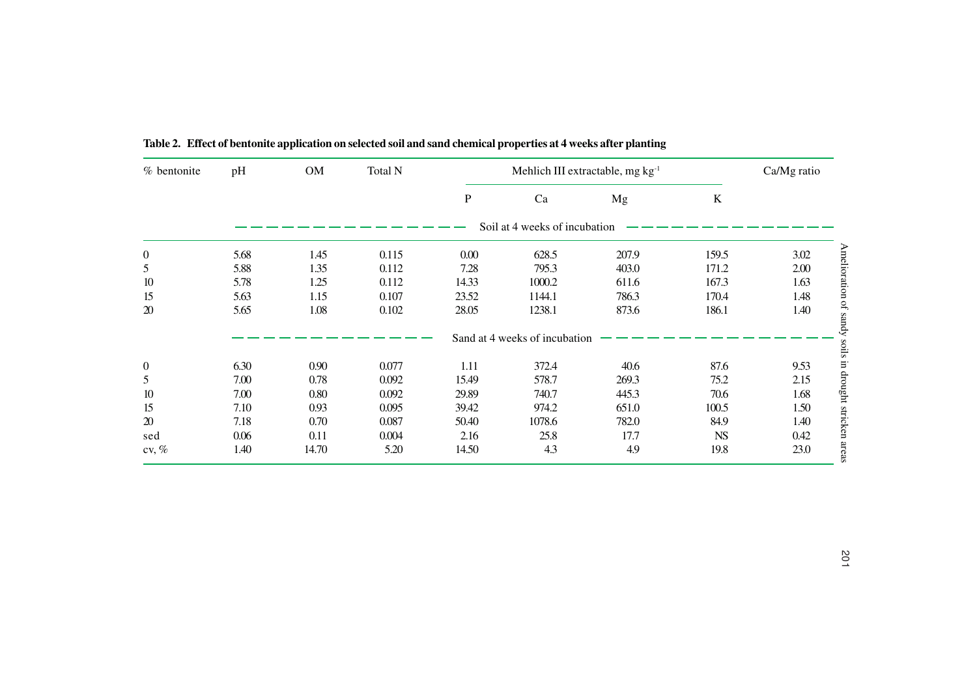| % bentonite      | pH   | ${\rm OM}$ | Total N | Mehlich III extractable, mg kg <sup>1</sup> |                               |       |           | Ca/Mg ratio |
|------------------|------|------------|---------|---------------------------------------------|-------------------------------|-------|-----------|-------------|
|                  |      |            |         | ${\bf P}$                                   | Ca                            | Mg    | $\bf K$   |             |
|                  |      |            |         |                                             | Soil at 4 weeks of incubation |       |           |             |
| $\boldsymbol{0}$ | 5.68 | 1.45       | 0.115   | $0.00\,$                                    | 628.5                         | 207.9 | 159.5     | 3.02        |
| 5                | 5.88 | 1.35       | 0.112   | 7.28                                        | 795.3                         | 403.0 | 171.2     | 2.00        |
| 10               | 5.78 | 1.25       | 0.112   | 14.33                                       | 1000.2                        | 611.6 | 167.3     | 1.63        |
| 15               | 5.63 | 1.15       | 0.107   | 23.52                                       | 1144.1                        | 786.3 | 170.4     | 1.48        |
| $20\,$           | 5.65 | 1.08       | 0.102   | 28.05                                       | 1238.1                        | 873.6 | 186.1     | 1.40        |
|                  |      |            |         |                                             | Sand at 4 weeks of incubation |       |           |             |
| $\boldsymbol{0}$ | 6.30 | 0.90       | 0.077   | 1.11                                        | 372.4                         | 40.6  | 87.6      | 9.53        |
| 5                | 7.00 | 0.78       | 0.092   | 15.49                                       | 578.7                         | 269.3 | 75.2      | 2.15        |
| $10\,$           | 7.00 | 0.80       | 0.092   | 29.89                                       | 740.7                         | 445.3 | 70.6      | 1.68        |
| 15               | 7.10 | 0.93       | 0.095   | 39.42                                       | 974.2                         | 651.0 | 100.5     | 1.50        |
| 20               | 7.18 | 0.70       | 0.087   | 50.40                                       | 1078.6                        | 782.0 | 84.9      | 1.40        |
| sed              | 0.06 | 0.11       | 0.004   | 2.16                                        | 25.8                          | 17.7  | <b>NS</b> | 0.42        |
| cv, $\%$         | 1.40 | 14.70      | 5.20    | 14.50                                       | 4.3                           | 4.9   | 19.8      | 23.0        |
|                  |      |            |         |                                             |                               |       |           |             |

**Table 2. Effect of bentonite application on selected soil and sand chemical properties at 4 weeks after planting**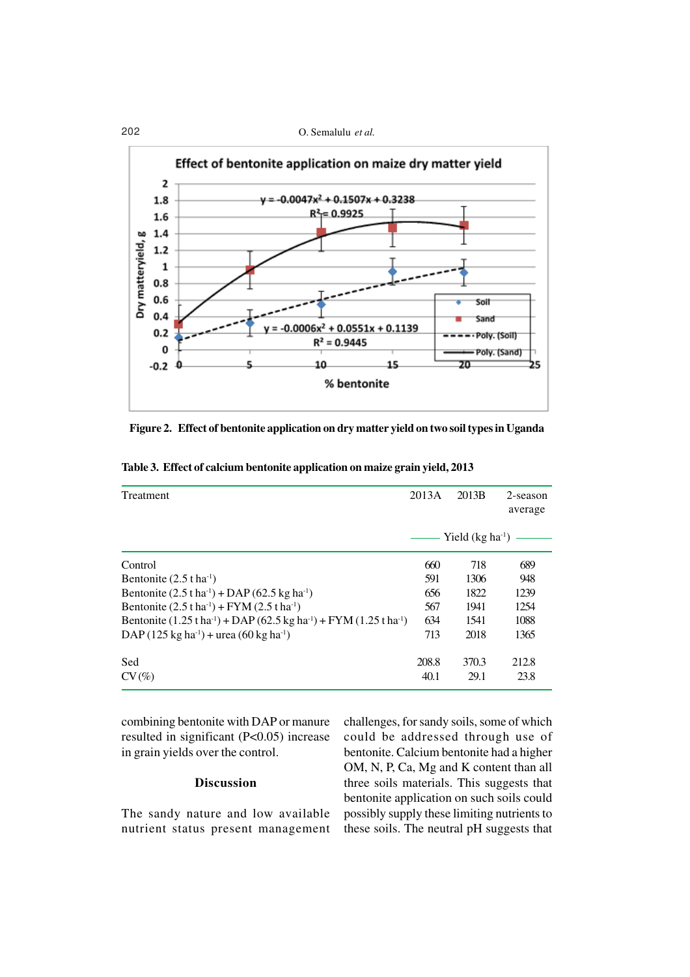### 202 O. Semalulu *et al.*



**Figure 2. Effect of bentonite application on dry matter yield on two soil types in Uganda**

| Treatment                                                                                                       | 2013A | 2013B                | 2-season<br>average |
|-----------------------------------------------------------------------------------------------------------------|-------|----------------------|---------------------|
|                                                                                                                 |       | Yield $(kg ha^{-1})$ |                     |
| Control                                                                                                         | 660   | 718                  | 689                 |
| Bentonite $(2.5 \text{ t} \text{ ha}^{-1})$                                                                     | 591   | 1306                 | 948                 |
| Bentonite $(2.5 \text{ tha}^{-1}) + \text{DAP} (62.5 \text{ kg ha}^{-1})$                                       | 656   | 1822                 | 1239                |
| Bentonite $(2.5 \text{ t} \text{ ha}^1) + FYM (2.5 \text{ t} \text{ ha}^1)$                                     | 567   | 1941                 | 1254                |
| Bentonite $(1.25 \text{ tha}^{-1}) + \text{DAP} (62.5 \text{ kg ha}^{-1}) + \text{FYM} (1.25 \text{ tha}^{-1})$ | 634   | 1541                 | 1088                |
| DAP $(125 \text{ kg ha}^1)$ + urea $(60 \text{ kg ha}^1)$                                                       | 713   | 2018                 | 1365                |
| Sed                                                                                                             | 208.8 | 370.3                | 212.8               |
| $CV(\%)$                                                                                                        | 40.1  | 29.1                 | 23.8                |

**Table 3. Effect of calcium bentonite application on maize grain yield, 2013**

combining bentonite with DAP or manure resulted in significant (P<0.05) increase in grain yields over the control.

### **Discussion**

The sandy nature and low available nutrient status present management challenges, for sandy soils, some of which could be addressed through use of bentonite. Calcium bentonite had a higher OM, N, P, Ca, Mg and K content than all three soils materials. This suggests that bentonite application on such soils could possibly supply these limiting nutrients to these soils. The neutral pH suggests that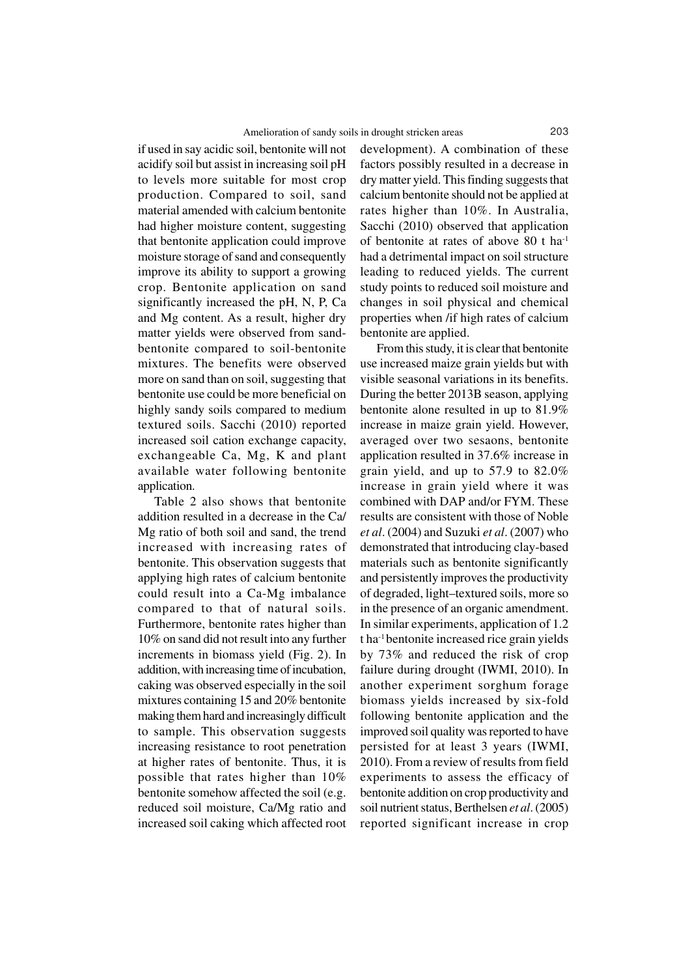if used in say acidic soil, bentonite will not acidify soil but assist in increasing soil pH to levels more suitable for most crop production. Compared to soil, sand material amended with calcium bentonite had higher moisture content, suggesting that bentonite application could improve moisture storage of sand and consequently improve its ability to support a growing crop. Bentonite application on sand significantly increased the pH, N, P, Ca and Mg content. As a result, higher dry matter yields were observed from sandbentonite compared to soil-bentonite mixtures. The benefits were observed more on sand than on soil, suggesting that bentonite use could be more beneficial on highly sandy soils compared to medium textured soils. Sacchi (2010) reported increased soil cation exchange capacity, exchangeable Ca, Mg, K and plant available water following bentonite application.

Table 2 also shows that bentonite addition resulted in a decrease in the Ca/ Mg ratio of both soil and sand, the trend increased with increasing rates of bentonite. This observation suggests that applying high rates of calcium bentonite could result into a Ca-Mg imbalance compared to that of natural soils. Furthermore, bentonite rates higher than 10% on sand did not result into any further increments in biomass yield (Fig. 2). In addition, with increasing time of incubation, caking was observed especially in the soil mixtures containing 15 and 20% bentonite making them hard and increasingly difficult to sample. This observation suggests increasing resistance to root penetration at higher rates of bentonite. Thus, it is possible that rates higher than 10% bentonite somehow affected the soil (e.g. reduced soil moisture, Ca/Mg ratio and increased soil caking which affected root development). A combination of these factors possibly resulted in a decrease in dry matter yield. This finding suggests that calcium bentonite should not be applied at rates higher than 10%. In Australia, Sacchi (2010) observed that application of bentonite at rates of above 80 t ha-1 had a detrimental impact on soil structure leading to reduced yields. The current study points to reduced soil moisture and changes in soil physical and chemical properties when /if high rates of calcium bentonite are applied.

From this study, it is clear that bentonite use increased maize grain yields but with visible seasonal variations in its benefits. During the better 2013B season, applying bentonite alone resulted in up to 81.9% increase in maize grain yield. However, averaged over two sesaons, bentonite application resulted in 37.6% increase in grain yield, and up to 57.9 to 82.0% increase in grain yield where it was combined with DAP and/or FYM. These results are consistent with those of Noble *et al*. (2004) and Suzuki *et al*. (2007) who demonstrated that introducing clay-based materials such as bentonite significantly and persistently improves the productivity of degraded, light–textured soils, more so in the presence of an organic amendment. In similar experiments, application of 1.2 t ha-1 bentonite increased rice grain yields by 73% and reduced the risk of crop failure during drought (IWMI, 2010). In another experiment sorghum forage biomass yields increased by six-fold following bentonite application and the improved soil quality was reported to have persisted for at least 3 years (IWMI, 2010). From a review of results from field experiments to assess the efficacy of bentonite addition on crop productivity and soil nutrient status, Berthelsen *et al*. (2005) reported significant increase in crop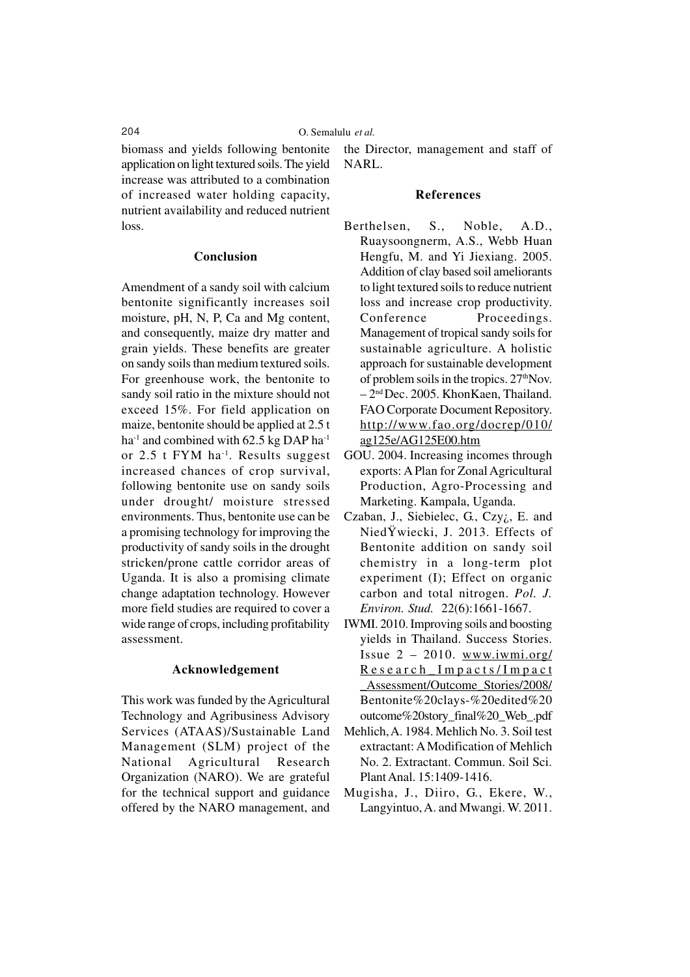biomass and yields following bentonite application on light textured soils. The yield increase was attributed to a combination of increased water holding capacity, nutrient availability and reduced nutrient loss.

### **Conclusion**

Amendment of a sandy soil with calcium bentonite significantly increases soil moisture, pH, N, P, Ca and Mg content, and consequently, maize dry matter and grain yields. These benefits are greater on sandy soils than medium textured soils. For greenhouse work, the bentonite to sandy soil ratio in the mixture should not exceed 15%. For field application on maize, bentonite should be applied at 2.5 t ha<sup>-1</sup> and combined with 62.5 kg DAP ha<sup>-1</sup> or 2.5 t FYM ha<sup>-1</sup>. Results suggest increased chances of crop survival, following bentonite use on sandy soils under drought/ moisture stressed environments. Thus, bentonite use can be a promising technology for improving the productivity of sandy soils in the drought stricken/prone cattle corridor areas of Uganda. It is also a promising climate change adaptation technology. However more field studies are required to cover a wide range of crops, including profitability assessment.

### **Acknowledgement**

This work was funded by the Agricultural Technology and Agribusiness Advisory Services (ATAAS)/Sustainable Land Management (SLM) project of the National Agricultural Research Organization (NARO). We are grateful for the technical support and guidance offered by the NARO management, and the Director, management and staff of NARL.

### **References**

- Berthelsen, S., Noble, A.D., Ruaysoongnerm, A.S., Webb Huan Hengfu, M. and Yi Jiexiang. 2005. Addition of clay based soil ameliorants to light textured soils to reduce nutrient loss and increase crop productivity. Conference Proceedings. Management of tropical sandy soils for sustainable agriculture. A holistic approach for sustainable development of problem soils in the tropics.  $27<sup>th</sup>$ Nov. – 2nd Dec. 2005. KhonKaen, Thailand. FAO Corporate Document Repository. http://www.fao.org/docrep/010/ ag125e/AG125E00.htm
- GOU. 2004. Increasing incomes through exports: A Plan for Zonal Agricultural Production, Agro-Processing and Marketing. Kampala, Uganda.
- Czaban, J., Siebielec, G., Czy¿, E. and NiedŸwiecki, J. 2013. Effects of Bentonite addition on sandy soil chemistry in a long-term plot experiment (I); Effect on organic carbon and total nitrogen. *Pol. J. Environ. Stud.* 22(6):1661-1667.
- IWMI. 2010. Improving soils and boosting yields in Thailand. Success Stories. Issue 2 – 2010. www.iwmi.org/ Research\_Impacts/Impact \_Assessment/Outcome\_Stories/2008/ Bentonite%20clays-%20edited%20 outcome%20story\_final%20\_Web\_.pdf
- Mehlich, A. 1984. Mehlich No. 3. Soil test extractant: A Modification of Mehlich No. 2. Extractant. Commun. Soil Sci. Plant Anal. 15:1409-1416.
- Mugisha, J., Diiro, G., Ekere, W., Langyintuo, A. and Mwangi. W. 2011.